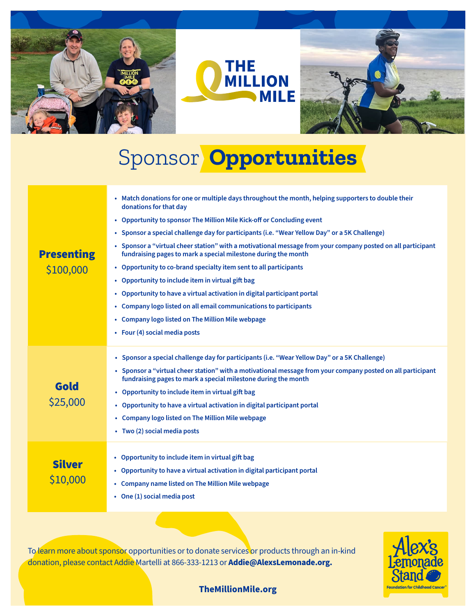





## Sponsor  **Opportunities**

| <b>Presenting</b><br>\$100,000 | • Match donations for one or multiple days throughout the month, helping supporters to double their<br>donations for that day<br>• Opportunity to sponsor The Million Mile Kick-off or Concluding event<br>• Sponsor a special challenge day for participants (i.e. "Wear Yellow Day" or a 5K Challenge)<br>• Sponsor a "virtual cheer station" with a motivational message from your company posted on all participant<br>fundraising pages to mark a special milestone during the month<br>• Opportunity to co-brand specialty item sent to all participants<br>• Opportunity to include item in virtual gift bag<br>• Opportunity to have a virtual activation in digital participant portal<br>• Company logo listed on all email communications to participants<br>• Company logo listed on The Million Mile webpage<br>• Four (4) social media posts |
|--------------------------------|------------------------------------------------------------------------------------------------------------------------------------------------------------------------------------------------------------------------------------------------------------------------------------------------------------------------------------------------------------------------------------------------------------------------------------------------------------------------------------------------------------------------------------------------------------------------------------------------------------------------------------------------------------------------------------------------------------------------------------------------------------------------------------------------------------------------------------------------------------|
| Gold<br>\$25,000               | • Sponsor a special challenge day for participants (i.e. "Wear Yellow Day" or a 5K Challenge)<br>• Sponsor a "virtual cheer station" with a motivational message from your company posted on all participant<br>fundraising pages to mark a special milestone during the month<br>• Opportunity to include item in virtual gift bag<br>• Opportunity to have a virtual activation in digital participant portal<br>• Company logo listed on The Million Mile webpage<br>• Two (2) social media posts                                                                                                                                                                                                                                                                                                                                                       |
| <b>Silver</b><br>\$10,000      | • Opportunity to include item in virtual gift bag<br>• Opportunity to have a virtual activation in digital participant portal<br>• Company name listed on The Million Mile webpage<br>• One (1) social media post                                                                                                                                                                                                                                                                                                                                                                                                                                                                                                                                                                                                                                          |

To learn more about sponsor opportunities or to donate services or products through an in-kind donation, please contact Addie Martelli at 866-333-1213 or **Addie@AlexsLemonade.org.**



**[TheMillionMile.org](https://www.alexslemonade.org/campaign/the-million-mile-2021)**